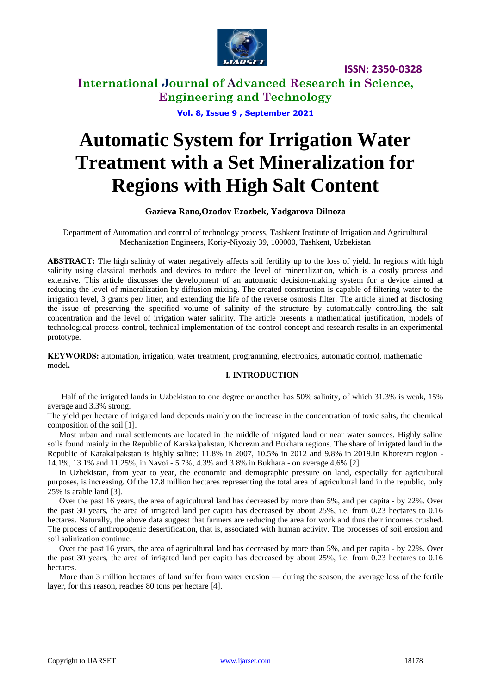

**ISSN: 2350-0328**

**International Journal of Advanced Research in Science, Engineering and Technology**

**Vol. 8, Issue 9 , September 2021**

# **Automatic System for Irrigation Water Treatment with a Set Mineralization for Regions with High Salt Content**

## **Gazieva Rano,Ozodov Ezozbek, Yadgarova Dilnoza**

Department of Automation and control of technology process, Tashkent Institute of Irrigation and Agricultural Mechanization Engineers, Koriy-Niyoziy 39, 100000, Tashkent, Uzbekistan

**ABSTRACT:** The high salinity of water negatively affects soil fertility up to the loss of yield. In regions with high salinity using classical methods and devices to reduce the level of mineralization, which is a costly process and extensive. This article discusses the development of an automatic decision-making system for a device aimed at reducing the level of mineralization by diffusion mixing. The created construction is capable of filtering water to the irrigation level, 3 grams per/ litter, and extending the life of the reverse osmosis filter. The article aimed at disclosing the issue of preserving the specified volume of salinity of the structure by automatically controlling the salt concentration and the level of irrigation water salinity. The article presents a mathematical justification, models of technological process control, technical implementation of the control concept and research results in an experimental prototype.

**KEYWORDS:** automation, irrigation, water treatment, programming, electronics, automatic control, mathematic model**.**

## **I. INTRODUCTION**

Half of the irrigated lands in Uzbekistan to one degree or another has 50% salinity, of which 31.3% is weak, 15% average and 3.3% strong.

The yield per hectare of irrigated land depends mainly on the increase in the concentration of toxic salts, the chemical composition of the soil [1].

Most urban and rural settlements are located in the middle of irrigated land or near water sources. Highly saline soils found mainly in the Republic of Karakalpakstan, Khorezm and Bukhara regions. The share of irrigated land in the Republic of Karakalpakstan is highly saline: 11.8% in 2007, 10.5% in 2012 and 9.8% in 2019.In Khorezm region - 14.1%, 13.1% and 11.25%, in Navoi - 5.7%, 4.3% and 3.8% in Bukhara - on average 4.6% [2].

In Uzbekistan, from year to year, the economic and demographic pressure on land, especially for agricultural purposes, is increasing. Of the 17.8 million hectares representing the total area of agricultural land in the republic, only 25% is arable land [3].

Over the past 16 years, the area of agricultural land has decreased by more than 5%, and per capita - by 22%. Over the past 30 years, the area of irrigated land per capita has decreased by about 25%, i.e. from 0.23 hectares to 0.16 hectares. Naturally, the above data suggest that farmers are reducing the area for work and thus their incomes crushed. The process of anthropogenic desertification, that is, associated with human activity. The processes of soil erosion and soil salinization continue.

Over the past 16 years, the area of agricultural land has decreased by more than 5%, and per capita - by 22%. Over the past 30 years, the area of irrigated land per capita has decreased by about 25%, i.e. from 0.23 hectares to 0.16 hectares.

More than 3 million hectares of land suffer from water erosion — during the season, the average loss of the fertile layer, for this reason, reaches 80 tons per hectare [4].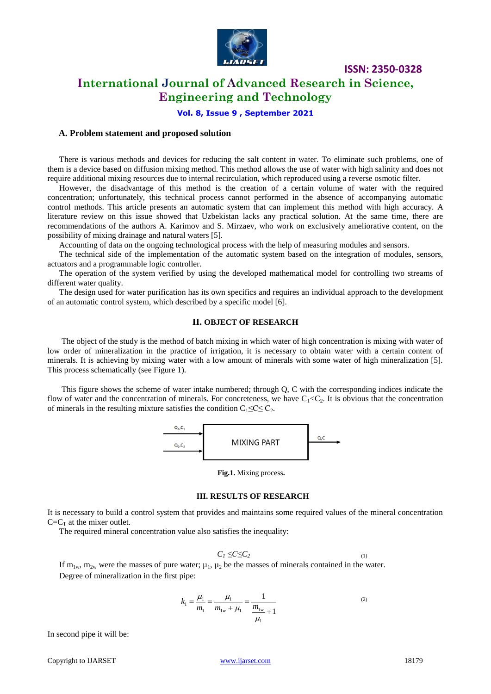

**ISSN: 2350-0328**

# **International Journal of Advanced Research in Science, Engineering and Technology**

**Vol. 8, Issue 9 , September 2021**

#### **A. Problem statement and proposed solution**

There is various methods and devices for reducing the salt content in water. To eliminate such problems, one of them is a device based on diffusion mixing method. This method allows the use of water with high salinity and does not require additional mixing resources due to internal recirculation, which reproduced using a reverse osmotic filter.

However, the disadvantage of this method is the creation of a certain volume of water with the required concentration; unfortunately, this technical process cannot performed in the absence of accompanying automatic control methods. This article presents an automatic system that can implement this method with high accuracy. A literature review on this issue showed that Uzbekistan lacks any practical solution. At the same time, there are recommendations of the authors A. Karimov and S. Mirzaev, who work on exclusively ameliorative content, on the possibility of mixing drainage and natural waters [5].

Accounting of data on the ongoing technological process with the help of measuring modules and sensors.

The technical side of the implementation of the automatic system based on the integration of modules, sensors, actuators and a programmable logic controller.

The operation of the system verified by using the developed mathematical model for controlling two streams of different water quality.

The design used for water purification has its own specifics and requires an individual approach to the development of an automatic control system, which described by a specific model [6].

### **II. OBJECT OF RESEARCH**

The object of the study is the method of batch mixing in which water of high concentration is mixing with water of low order of mineralization in the practice of irrigation, it is necessary to obtain water with a certain content of minerals. It is achieving by mixing water with a low amount of minerals with some water of high mineralization [5]. This process schematically (see Figure 1).

This figure shows the scheme of water intake numbered; through Q, C with the corresponding indices indicate the flow of water and the concentration of minerals. For concreteness, we have  $C_1 < C_2$ . It is obvious that the concentration of minerals in the resulting mixture satisfies the condition  $C_1 \leq C \leq C_2$ .



**Fig.1.** Mixing process**.** 

#### **III. RESULTS OF RESEARCH**

It is necessary to build a control system that provides and maintains some required values of the mineral concentration  $C=C_T$  at the mixer outlet.

The required mineral concentration value also satisfies the inequality:

$$
C_1 \leq C \leq C_2 \tag{1}
$$

If  $m_{1w}$ ,  $m_{2w}$  were the masses of pure water;  $\mu_1, \mu_2$  be the masses of minerals contained in the water. Degree of mineralization in the first pipe:

$$
k_1 = \frac{\mu_1}{m_1} = \frac{\mu_1}{m_{1w} + \mu_1} = \frac{1}{\frac{m_{1w}}{\mu_1} + 1}
$$
 (2)

In second pipe it will be: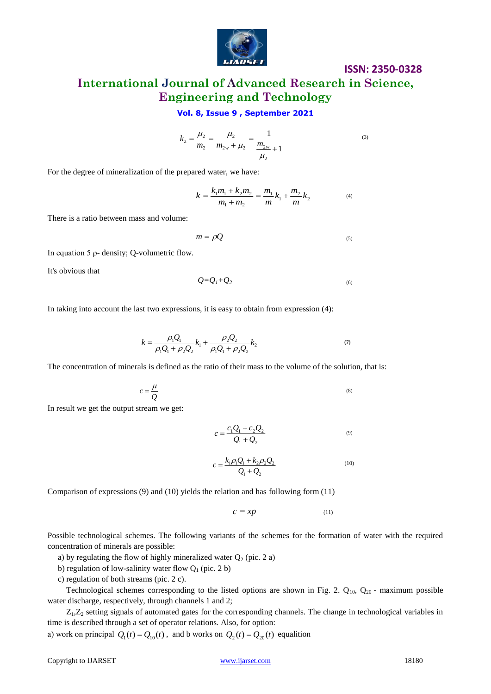

# **ISSN: 2350-0328**

(3)

**International Journal of Advanced Research in Science, Engineering and Technology**

## **Vol. 8, Issue 9 , September 2021**

$$
k_2 = \frac{\mu_2}{m_2} = \frac{\mu_2}{m_{2w} + \mu_2} = \frac{1}{\frac{m_{2w}}{\mu_2} + 1}
$$

For the degree of mineralization of the prepared water, we have:

$$
k = \frac{k_1 m_1 + k_2 m_2}{m_1 + m_2} = \frac{m_1}{m} k_1 + \frac{m_2}{m} k_2
$$
 (4)

There is a ratio between mass and volume:

$$
m = \rho Q \tag{5}
$$

In equation 5 ρ- density; Q-volumetric flow.

It's obvious that

$$
Q=Q_1+Q_2\tag{6}
$$

In taking into account the last two expressions, it is easy to obtain from expression (4):

$$
k = \frac{\rho_1 Q_1}{\rho_1 Q_1 + \rho_2 Q_2} k_1 + \frac{\rho_2 Q_2}{\rho_1 Q_1 + \rho_2 Q_2} k_2
$$
\n(7)

The concentration of minerals is defined as the ratio of their mass to the volume of the solution, that is:

$$
c = \frac{\mu}{Q} \tag{8}
$$

In result we get the output stream we get:

$$
c = \frac{c_1 Q_1 + c_2 Q_2}{Q_1 + Q_2} \tag{9}
$$

$$
c = \frac{k_1 \rho_1 Q_1 + k_2 \rho_2 Q_2}{Q_1 + Q_2} \tag{10}
$$

Comparison of expressions (9) and (10) yields the relation and has following form (11)

$$
c = xp \tag{11}
$$

Possible technological schemes. The following variants of the schemes for the formation of water with the required concentration of minerals are possible:

a) by regulating the flow of highly mineralized water  $Q_2$  (pic. 2 a)

b) regulation of low-salinity water flow  $Q_1$  (pic. 2 b)

c) regulation of both streams (pic. 2 c).

Technological schemes corresponding to the listed options are shown in Fig. 2.  $Q_{10}$ ,  $Q_{20}$  - maximum possible water discharge, respectively, through channels 1 and 2;

 $Z_1, Z_2$  setting signals of automated gates for the corresponding channels. The change in technological variables in time is described through a set of operator relations. Also, for option:

a) work on principal  $Q_1(t) = Q_{10}(t)$ , and b works on  $Q_2(t) = Q_{20}(t)$  equalition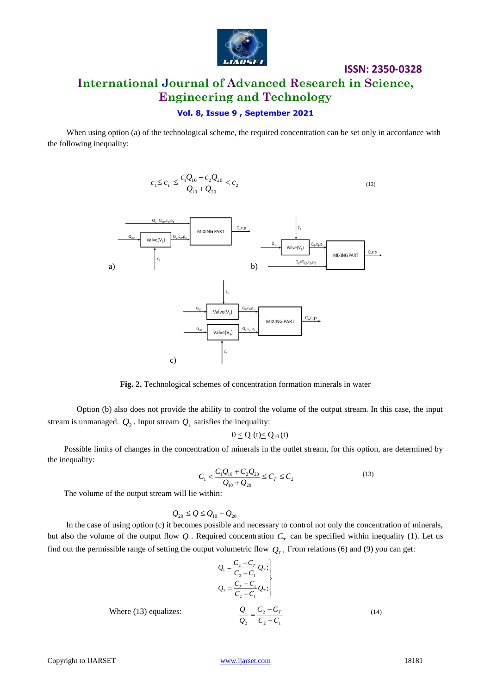

## **Vol. 8, Issue 9 , September 2021**

When using option (a) of the technological scheme, the required concentration can be set only in accordance with the following inequality:

$$
c_1 \le c_T \le \frac{c_1 Q_{10} + c_2 Q_{20}}{Q_{10} + Q_{20}} < c_2 \tag{12}
$$



**Fig. 2.** Technological schemes of concentration formation minerals in water

Option (b) also does not provide the ability to control the volume of the output stream. In this case, the input stream is unmanaged.  $Q_2$ . Input stream  $Q_1$  satisfies the inequality:

$$
0\leq Q_1(t)\!\!\leq Q_{10}\left(t\right)
$$

 Possible limits of changes in the concentration of minerals in the outlet stream, for this option, are determined by the inequality:

$$
C_1 < \frac{C_1 Q_{10} + C_2 Q_{20}}{Q_{10} + Q_{20}} \le C_T \le C_2
$$
\n(13)

The volume of the output stream will lie within:

$$
Q_{20} \leq Q \leq Q_{10} + Q_{20}
$$

 In the case of using option (c) it becomes possible and necessary to control not only the concentration of minerals, but also the volume of the output flow  $Q_1$ . Required concentration  $C_T$  can be specified within inequality (1). Let us find out the permissible range of setting the output volumetric flow  $Q_T$ . From relations (6) and (9) you can get:

$$
Q_1 = \frac{C_2 - C_T}{C_2 - C_1} Q_T;
$$
\n
$$
Q_2 = \frac{C_r - C_1}{C_2 - C_1} Q_T;
$$
\nWhere (13) equalizes: 
$$
\frac{Q_1}{Q_2} = \frac{C_2 - C_T}{C_2 - C_1}
$$
\n(14)

Copyright to IJARSET [www.ijarset.com](http://www.ijarset.com/) 18181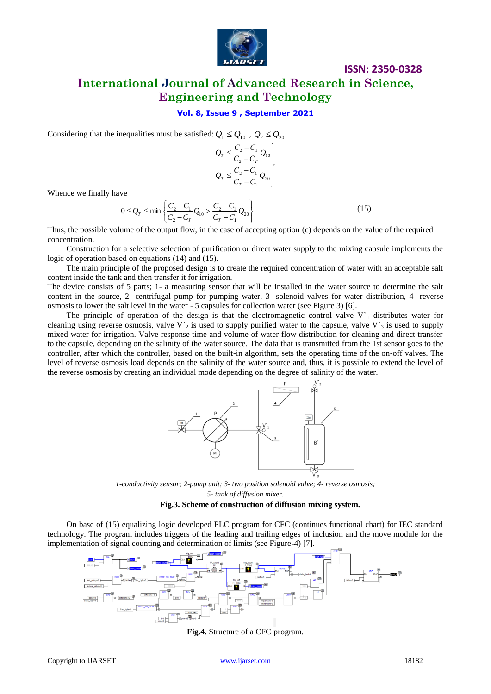

## **Vol. 8, Issue 9 , September 2021**

Considering that the inequalities must be satisfied:  $Q_1 \leq Q_{10}$ ,  $Q_2 \leq Q_{20}$ 

$$
Q_{T} \leq \frac{C_{2} - C_{1}}{C_{2} - C_{T}} Q_{10}
$$
  

$$
Q_{T} \leq \frac{C_{2} - C_{1}}{C_{T} - C_{1}} Q_{20}
$$

Whence we finally have

$$
0 \le Q_T \le \min\left\{\frac{C_2 - C_1}{C_2 - C_T} Q_{10} > \frac{C_2 - C_1}{C_T - C_1} Q_{20}\right\}
$$
(15)

Thus, the possible volume of the output flow, in the case of accepting option (c) depends on the value of the required concentration.

Construction for a selective selection of purification or direct water supply to the mixing capsule implements the logic of operation based on equations (14) and (15).

The main principle of the proposed design is to create the required concentration of water with an acceptable salt content inside the tank and then transfer it for irrigation.

The device consists of 5 parts; 1- a measuring sensor that will be installed in the water source to determine the salt content in the source, 2- centrifugal pump for pumping water, 3- solenoid valves for water distribution, 4- reverse osmosis to lower the salt level in the water - 5 capsules for collection water (see Figure 3) [6].

The principle of operation of the design is that the electromagnetic control valve  $V_1$  distributes water for cleaning using reverse osmosis, valve V'<sub>2</sub> is used to supply purified water to the capsule, valve V'<sub>3</sub> is used to supply mixed water for irrigation. Valve response time and volume of water flow distribution for cleaning and direct transfer to the capsule, depending on the salinity of the water source. The data that is transmitted from the 1st sensor goes to the controller, after which the controller, based on the built-in algorithm, sets the operating time of the on-off valves. The level of reverse osmosis load depends on the salinity of the water source and, thus, it is possible to extend the level of the reverse osmosis by creating an individual mode depending on the degree of salinity of the water.



*1-conductivity sensor; 2-pump unit; 3- two position solenoid valve; 4- reverse osmosis; 5- tank of diffusion mixer.*

#### **Fig.3. Scheme of construction of diffusion mixing system.**

On base of (15) equalizing logic developed PLC program for CFC (continues functional chart) for IEC standard technology. The program includes triggers of the leading and trailing edges of inclusion and the move module for the implementation of signal counting and determination of limits (see Figure-4) [7].



**Fig.4.** Structure of a CFC program.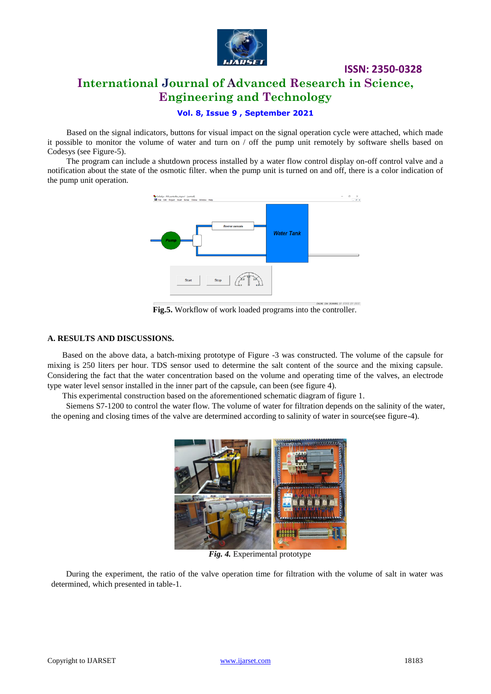

## **Vol. 8, Issue 9 , September 2021**

Based on the signal indicators, buttons for visual impact on the signal operation cycle were attached, which made it possible to monitor the volume of water and turn on / off the pump unit remotely by software shells based on Codesys (see Figure-5).

The program can include a shutdown process installed by a water flow control display on-off control valve and a notification about the state of the osmotic filter. when the pump unit is turned on and off, there is a color indication of the pump unit operation.



**Fig.5.** Workflow of work loaded programs into the controller.

### **A. RESULTS AND DISCUSSIONS.**

Based on the above data, a batch-mixing prototype of Figure -3 was constructed. The volume of the capsule for mixing is 250 liters per hour. TDS sensor used to determine the salt content of the source and the mixing capsule. Considering the fact that the water concentration based on the volume and operating time of the valves, an electrode type water level sensor installed in the inner part of the capsule, can been (see figure 4).

This experimental construction based on the aforementioned schematic diagram of figure 1.

Siemens S7-1200 to control the water flow. The volume of water for filtration depends on the salinity of the water, the opening and closing times of the valve are determined according to salinity of water in source(see figure-4).



*Fig. 4.* Experimental prototype

During the experiment, the ratio of the valve operation time for filtration with the volume of salt in water was determined, which presented in table-1.